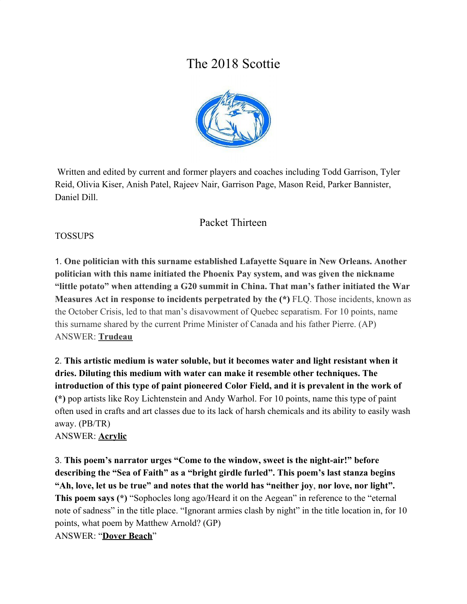# The 2018 Scottie



 Written and edited by current and former players and coaches including Todd Garrison, Tyler Reid, Olivia Kiser, Anish Patel, Rajeev Nair, Garrison Page, Mason Reid, Parker Bannister, Daniel Dill.

# Packet Thirteen

#### TOSSUPS

1. **One politician with this surname established Lafayette Square in New Orleans. Another politician with this name initiated the Phoenix Pay system, and was given the nickname "little potato" when attending a G20 summit in China. That man's father initiated the War Measures Act in response to incidents perpetrated by the (\*)** FLQ. Those incidents, known as the October Crisis, led to that man's disavowment of Quebec separatism. For 10 points, name this surname shared by the current Prime Minister of Canada and his father Pierre. (AP) ANSWER: **Trudeau**

2. **This artistic medium is water soluble, but it becomes water and light resistant when it dries. Diluting this medium with water can make it resemble other techniques. The introduction of this type of paint pioneered Color Field, and it is prevalent in the work of (\*)** pop artists like Roy Lichtenstein and Andy Warhol. For 10 points, name this type of paint often used in crafts and art classes due to its lack of harsh chemicals and its ability to easily wash away. (PB/TR) ANSWER: **Acrylic**

3. **This poem's narrator urges "Come to the window, sweet is the night-air!" before describing the "Sea of Faith" as a "bright girdle furled". This poem's last stanza begins "Ah, love, let us be true" and notes that the world has "neither joy**, **nor love, nor light". This poem says (\*)** "Sophocles long ago/Heard it on the Aegean" in reference to the "eternal note of sadness" in the title place. "Ignorant armies clash by night" in the title location in, for 10 points, what poem by Matthew Arnold? (GP) ANSWER: "**Dover Beach**"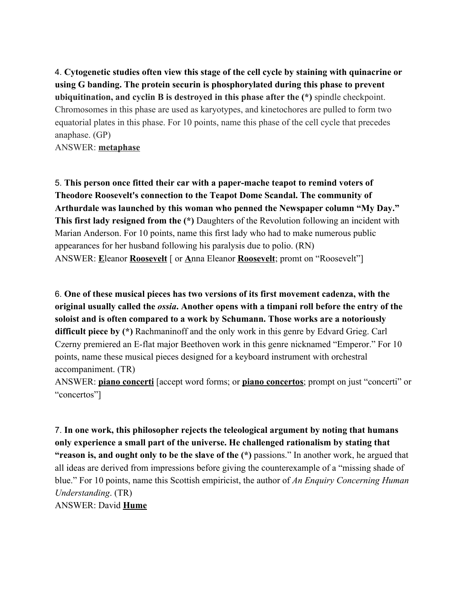4. **Cytogenetic studies often view this stage of the cell cycle by staining with quinacrine or using G banding. The protein securin is phosphorylated during this phase to prevent ubiquitination, and cyclin B is destroyed in this phase after the (\*)** spindle checkpoint. Chromosomes in this phase are used as karyotypes, and kinetochores are pulled to form two equatorial plates in this phase. For 10 points, name this phase of the cell cycle that precedes anaphase. (GP)

ANSWER: **metaphase**

5. **This person once fitted their car with a paper-mache teapot to remind voters of Theodore Roosevelt's connection to the Teapot Dome Scandal. The community of Arthurdale was launched by this woman who penned the Newspaper column "My Day." This first lady resigned from the (\*)** Daughters of the Revolution following an incident with Marian Anderson. For 10 points, name this first lady who had to make numerous public appearances for her husband following his paralysis due to polio. (RN) ANSWER: **E**leanor **Roosevelt** [ or **A**nna Eleanor **Roosevelt**; promt on "Roosevelt"]

6. **One of these musical pieces has two versions of its first movement cadenza, with the original usually called the** *ossia***. Another opens with a timpani roll before the entry of the soloist and is often compared to a work by Schumann. Those works are a notoriously difficult piece by (\*)** Rachmaninoff and the only work in this genre by Edvard Grieg. Carl Czerny premiered an E-flat major Beethoven work in this genre nicknamed "Emperor." For 10 points, name these musical pieces designed for a keyboard instrument with orchestral accompaniment. (TR)

ANSWER: **piano concerti** [accept word forms; or **piano concertos**; prompt on just "concerti" or "concertos"]

7. **In one work, this philosopher rejects the teleological argument by noting that humans only experience a small part of the universe. He challenged rationalism by stating that "reason is, and ought only to be the slave of the (\*)** passions." In another work, he argued that all ideas are derived from impressions before giving the counterexample of a "missing shade of blue." For 10 points, name this Scottish empiricist, the author of *An Enquiry Concerning Human Understanding*. (TR) ANSWER: David **Hume**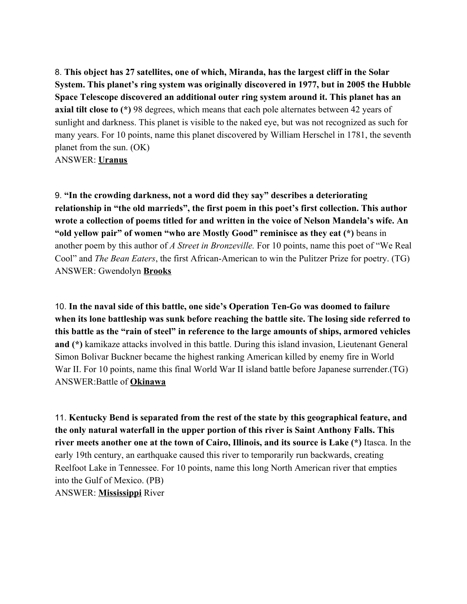8. **This object has 27 satellites, one of which, Miranda, has the largest cliff in the Solar System. This planet's ring system was originally discovered in 1977, but in 2005 the Hubble Space Telescope discovered an additional outer ring system around it. This planet has an axial tilt close to (\*)** 98 degrees, which means that each pole alternates between 42 years of sunlight and darkness. This planet is visible to the naked eye, but was not recognized as such for many years. For 10 points, name this planet discovered by William Herschel in 1781, the seventh planet from the sun. (OK)

ANSWER: **Uranus**

9. **"In the crowding darkness, not a word did they say" describes a deteriorating relationship in "the old marrieds", the first poem in this poet's first collection. This author wrote a collection of poems titled for and written in the voice of Nelson Mandela's wife. An "old yellow pair" of women "who are Mostly Good" reminisce as they eat (\*)** beans in another poem by this author of *A Street in Bronzeville.* For 10 points, name this poet of "We Real Cool" and *The Bean Eaters*, the first African-American to win the Pulitzer Prize for poetry. (TG) ANSWER: Gwendolyn **Brooks**

10. **In the naval side of this battle, one side's Operation Ten-Go was doomed to failure when its lone battleship was sunk before reaching the battle site. The losing side referred to this battle as the "rain of steel" in reference to the large amounts of ships, armored vehicles and (\*)** kamikaze attacks involved in this battle. During this island invasion, Lieutenant General Simon Bolivar Buckner became the highest ranking American killed by enemy fire in World War II. For 10 points, name this final World War II island battle before Japanese surrender.(TG) ANSWER:Battle of **Okinawa**

11. **Kentucky Bend is separated from the rest of the state by this geographical feature, and the only natural waterfall in the upper portion of this river is Saint Anthony Falls. This river meets another one at the town of Cairo, Illinois, and its source is Lake (\*)** Itasca. In the early 19th century, an earthquake caused this river to temporarily run backwards, creating Reelfoot Lake in Tennessee. For 10 points, name this long North American river that empties into the Gulf of Mexico. (PB) ANSWER: **Mississippi** River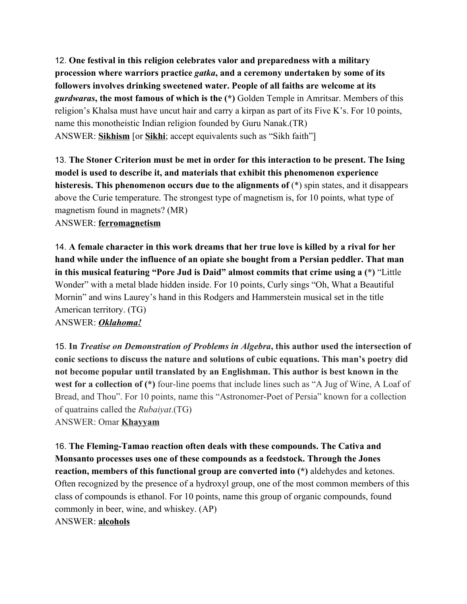12. **One festival in this religion celebrates valor and preparedness with a military procession where warriors practice** *gatka***, and a ceremony undertaken by some of its followers involves drinking sweetened water. People of all faiths are welcome at its** *gurdwaras***, the most famous of which is the (\*)** Golden Temple in Amritsar. Members of this religion's Khalsa must have uncut hair and carry a kirpan as part of its Five K's. For 10 points, name this monotheistic Indian religion founded by Guru Nanak.(TR) ANSWER: **Sikhism** [or **Sikhi**; accept equivalents such as "Sikh faith"]

13. **The Stoner Criterion must be met in order for this interaction to be present. The Ising model is used to describe it, and materials that exhibit this phenomenon experience histeresis. This phenomenon occurs due to the alignments of** (\*) spin states, and it disappears above the Curie temperature. The strongest type of magnetism is, for 10 points, what type of magnetism found in magnets? (MR)

#### ANSWER: **ferromagnetism**

14. **A female character in this work dreams that her true love is killed by a rival for her hand while under the influence of an opiate she bought from a Persian peddler. That man in this musical featuring "Pore Jud is Daid" almost commits that crime using a (\*)** "Little Wonder" with a metal blade hidden inside. For 10 points, Curly sings "Oh, What a Beautiful Mornin" and wins Laurey's hand in this Rodgers and Hammerstein musical set in the title American territory. (TG)

ANSWER: *Oklahoma!*

15. **In** *Treatise on Demonstration of Problems in Algebra***, this author used the intersection of conic sections to discuss the nature and solutions of cubic equations. This man's poetry did not become popular until translated by an Englishman. This author is best known in the west for a collection of (\*)** four-line poems that include lines such as "A Jug of Wine, A Loaf of Bread, and Thou". For 10 points, name this "Astronomer-Poet of Persia" known for a collection of quatrains called the *Rubaiyat*.(TG)

ANSWER: Omar **Khayyam**

16. **The Fleming-Tamao reaction often deals with these compounds. The Cativa and Monsanto processes uses one of these compounds as a feedstock. Through the Jones reaction, members of this functional group are converted into (\*)** aldehydes and ketones. Often recognized by the presence of a hydroxyl group, one of the most common members of this class of compounds is ethanol. For 10 points, name this group of organic compounds, found commonly in beer, wine, and whiskey. (AP) ANSWER: **alcohols**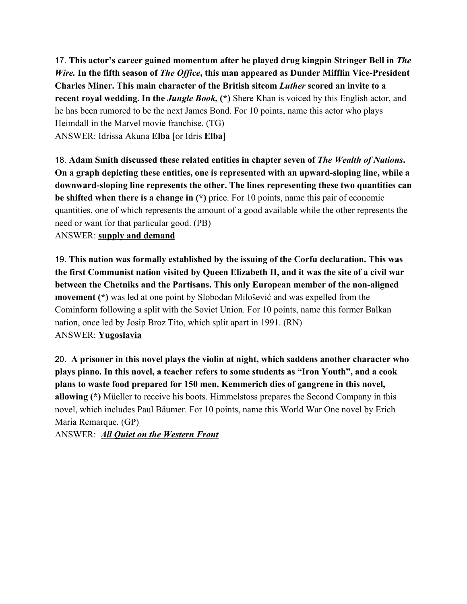17. **This actor's career gained momentum after he played drug kingpin Stringer Bell in** *The Wire.* **In the fifth season of** *The Office***, this man appeared as Dunder Mifflin Vice-President Charles Miner. This main character of the British sitcom** *Luther* **scored an invite to a recent royal wedding. In the** *Jungle Book***, (\*)** Shere Khan is voiced by this English actor, and he has been rumored to be the next James Bond. For 10 points, name this actor who plays Heimdall in the Marvel movie franchise. (TG) ANSWER: Idrissa Akuna **Elba** [or Idris **Elba**]

18. **Adam Smith discussed these related entities in chapter seven of** *The Wealth of Nations***. On a graph depicting these entities, one is represented with an upward-sloping line, while a downward-sloping line represents the other. The lines representing these two quantities can be shifted when there is a change in (\*)** price. For 10 points, name this pair of economic quantities, one of which represents the amount of a good available while the other represents the need or want for that particular good. (PB)

ANSWER: **supply and demand**

19. **This nation was formally established by the issuing of the Corfu declaration. This was the first Communist nation visited by Queen Elizabeth II, and it was the site of a civil war between the Chetniks and the Partisans. This only European member of the non-aligned movement (\*)** was led at one point by Slobodan Milošević and was expelled from the Cominform following a split with the Soviet Union. For 10 points, name this former Balkan nation, once led by Josip Broz Tito, which split apart in 1991. (RN) ANSWER: **Yugoslavia**

20. **A prisoner in this novel plays the violin at night, which saddens another character who plays piano. In this novel, a teacher refers to some students as "Iron Youth", and a cook plans to waste food prepared for 150 men. Kemmerich dies of gangrene in this novel, allowing (\*)** Müeller to receive his boots. Himmelstoss prepares the Second Company in this novel, which includes Paul Bäumer. For 10 points, name this World War One novel by Erich Maria Remarque. (GP)

ANSWER: *All Quiet on the Western Front*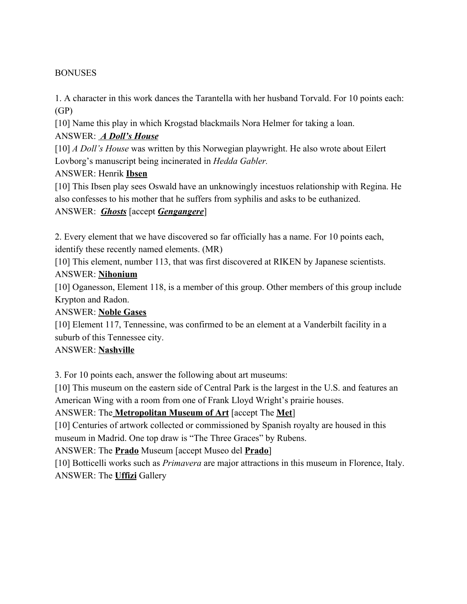#### **BONUSES**

1. A character in this work dances the Tarantella with her husband Torvald. For 10 points each: (GP)

[10] Name this play in which Krogstad blackmails Nora Helmer for taking a loan.

## ANSWER: *A Doll's House*

[10] *A Doll's House* was written by this Norwegian playwright. He also wrote about Eilert Lovborg's manuscript being incinerated in *Hedda Gabler.*

## ANSWER: Henrik **Ibsen**

[10] This Ibsen play sees Oswald have an unknowingly incestuos relationship with Regina. He also confesses to his mother that he suffers from syphilis and asks to be euthanized. ANSWER: *Ghosts* [accept *Gengangere*]

2. Every element that we have discovered so far officially has a name. For 10 points each, identify these recently named elements. (MR)

[10] This element, number 113, that was first discovered at RIKEN by Japanese scientists.

#### ANSWER: **Nihonium**

[10] Oganesson, Element 118, is a member of this group. Other members of this group include Krypton and Radon.

#### ANSWER: **Noble Gases**

[10] Element 117, Tennessine, was confirmed to be an element at a Vanderbilt facility in a suburb of this Tennessee city.

## ANSWER: **Nashville**

3. For 10 points each, answer the following about art museums:

[10] This museum on the eastern side of Central Park is the largest in the U.S. and features an American Wing with a room from one of Frank Lloyd Wright's prairie houses.

ANSWER: The **Metropolitan Museum of Art** [accept The **Met**]

[10] Centuries of artwork collected or commissioned by Spanish royalty are housed in this museum in Madrid. One top draw is "The Three Graces" by Rubens.

ANSWER: The **Prado** Museum [accept Museo del **Prado**]

[10] Botticelli works such as *Primavera* are major attractions in this museum in Florence, Italy. ANSWER: The **Uffizi** Gallery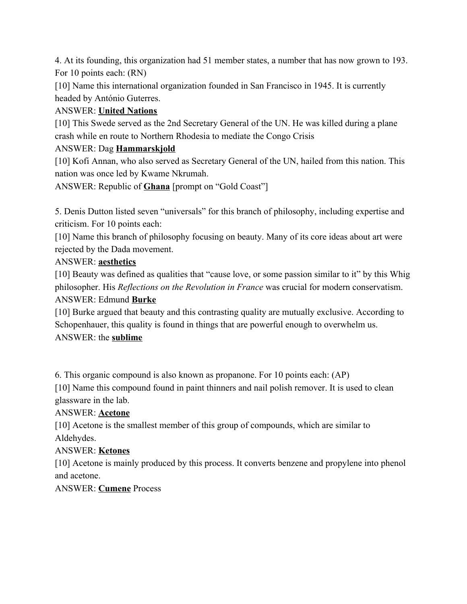4. At its founding, this organization had 51 member states, a number that has now grown to 193. For 10 points each: (RN)

[10] Name this international organization founded in San Francisco in 1945. It is currently headed by António Guterres.

# ANSWER: **United Nations**

[10] This Swede served as the 2nd Secretary General of the UN. He was killed during a plane crash while en route to Northern Rhodesia to mediate the Congo Crisis

# ANSWER: Dag **Hammarskjold**

[10] Kofi Annan, who also served as Secretary General of the UN, hailed from this nation. This nation was once led by Kwame Nkrumah.

ANSWER: Republic of **Ghana** [prompt on "Gold Coast"]

5. Denis Dutton listed seven "universals" for this branch of philosophy, including expertise and criticism. For 10 points each:

[10] Name this branch of philosophy focusing on beauty. Many of its core ideas about art were rejected by the Dada movement.

# ANSWER: **aesthetics**

[10] Beauty was defined as qualities that "cause love, or some passion similar to it" by this Whig philosopher. His *Reflections on the Revolution in France* was crucial for modern conservatism. ANSWER: Edmund **Burke**

[10] Burke argued that beauty and this contrasting quality are mutually exclusive. According to Schopenhauer, this quality is found in things that are powerful enough to overwhelm us. ANSWER: the **sublime**

6. This organic compound is also known as propanone. For 10 points each: (AP)

[10] Name this compound found in paint thinners and nail polish remover. It is used to clean glassware in the lab.

# ANSWER: **Acetone**

[10] Acetone is the smallest member of this group of compounds, which are similar to Aldehydes.

## ANSWER: **Ketones**

[10] Acetone is mainly produced by this process. It converts benzene and propylene into phenol and acetone.

## ANSWER: **Cumene** Process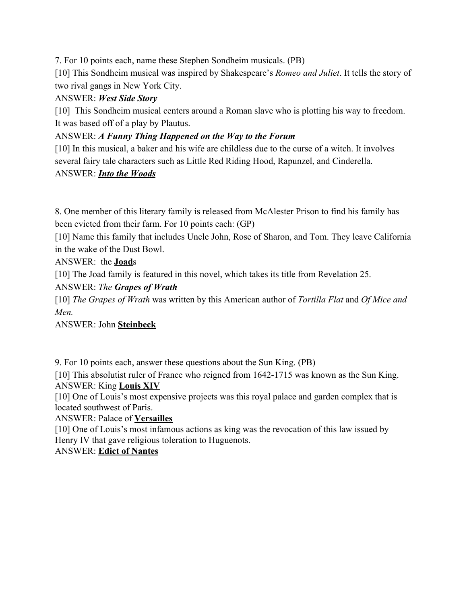7. For 10 points each, name these Stephen Sondheim musicals. (PB)

[10] This Sondheim musical was inspired by Shakespeare's *Romeo and Juliet*. It tells the story of two rival gangs in New York City.

### ANSWER: *West Side Story*

[10] This Sondheim musical centers around a Roman slave who is plotting his way to freedom. It was based off of a play by Plautus.

#### ANSWER: *A Funny Thing Happened on the Way to the Forum*

[10] In this musical, a baker and his wife are childless due to the curse of a witch. It involves several fairy tale characters such as Little Red Riding Hood, Rapunzel, and Cinderella. ANSWER: *Into the Woods*

8. One member of this literary family is released from McAlester Prison to find his family has been evicted from their farm. For 10 points each: (GP)

[10] Name this family that includes Uncle John, Rose of Sharon, and Tom. They leave California in the wake of the Dust Bowl.

ANSWER: the **Joad**s

[10] The Joad family is featured in this novel, which takes its title from Revelation 25.

ANSWER: *The Grapes of Wrath*

[10] *The Grapes of Wrath* was written by this American author of *Tortilla Flat* and *Of Mice and Men.*

ANSWER: John **Steinbeck**

9. For 10 points each, answer these questions about the Sun King. (PB)

[10] This absolutist ruler of France who reigned from 1642-1715 was known as the Sun King. ANSWER: King **Louis XIV**

[10] One of Louis's most expensive projects was this royal palace and garden complex that is located southwest of Paris.

ANSWER: Palace of **Versailles**

[10] One of Louis's most infamous actions as king was the revocation of this law issued by Henry IV that gave religious toleration to Huguenots.

ANSWER: **Edict of Nantes**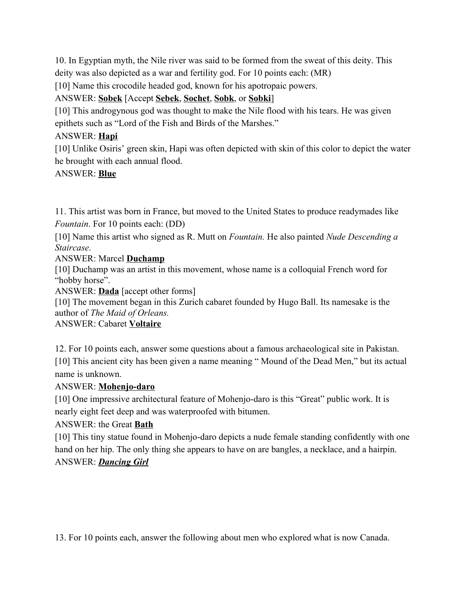10. In Egyptian myth, the Nile river was said to be formed from the sweat of this deity. This deity was also depicted as a war and fertility god. For 10 points each: (MR)

[10] Name this crocodile headed god, known for his apotropaic powers.

# ANSWER: **Sobek** [Accept **Sebek**, **Sochet**, **Sobk**, or **Sobki**]

[10] This androgynous god was thought to make the Nile flood with his tears. He was given epithets such as "Lord of the Fish and Birds of the Marshes."

# ANSWER: **Hapi**

[10] Unlike Osiris' green skin, Hapi was often depicted with skin of this color to depict the water he brought with each annual flood.

# ANSWER: **Blue**

11. This artist was born in France, but moved to the United States to produce readymades like *Fountain*. For 10 points each: (DD)

[10] Name this artist who signed as R. Mutt on *Fountain.* He also painted *Nude Descending a Staircase*.

ANSWER: Marcel **Duchamp**

[10] Duchamp was an artist in this movement, whose name is a colloquial French word for "hobby horse".

ANSWER: **Dada** [accept other forms]

[10] The movement began in this Zurich cabaret founded by Hugo Ball. Its namesake is the author of *The Maid of Orleans.*

#### ANSWER: Cabaret **Voltaire**

12. For 10 points each, answer some questions about a famous archaeological site in Pakistan. [10] This ancient city has been given a name meaning " Mound of the Dead Men," but its actual name is unknown.

## ANSWER: **Mohenjo-daro**

[10] One impressive architectural feature of Mohenjo-daro is this "Great" public work. It is nearly eight feet deep and was waterproofed with bitumen.

## ANSWER: the Great **Bath**

[10] This tiny statue found in Mohenjo-daro depicts a nude female standing confidently with one hand on her hip. The only thing she appears to have on are bangles, a necklace, and a hairpin. ANSWER: *Dancing Girl*

13. For 10 points each, answer the following about men who explored what is now Canada.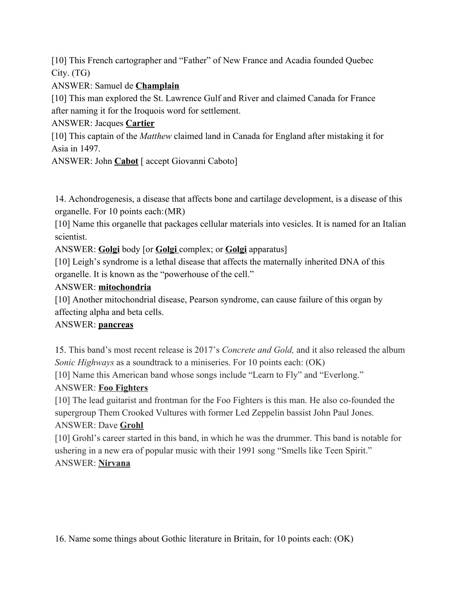[10] This French cartographer and "Father" of New France and Acadia founded Quebec City. (TG)

ANSWER: Samuel de **Champlain**

[10] This man explored the St. Lawrence Gulf and River and claimed Canada for France after naming it for the Iroquois word for settlement.

ANSWER: Jacques **Cartier**

[10] This captain of the *Matthew* claimed land in Canada for England after mistaking it for Asia in 1497.

ANSWER: John **Cabot** [ accept Giovanni Caboto]

14. Achondrogenesis, a disease that affects bone and cartilage development, is a disease of this organelle. For 10 points each:(MR)

[10] Name this organelle that packages cellular materials into vesicles. It is named for an Italian scientist.

ANSWER: **Golgi** body [or **Golgi** complex; or **Golgi** apparatus]

[10] Leigh's syndrome is a lethal disease that affects the maternally inherited DNA of this organelle. It is known as the "powerhouse of the cell."

#### ANSWER: **mitochondria**

[10] Another mitochondrial disease, Pearson syndrome, can cause failure of this organ by affecting alpha and beta cells.

## ANSWER: **pancreas**

15. This band's most recent release is 2017's *Concrete and Gold,* and it also released the album *Sonic Highways* as a soundtrack to a miniseries. For 10 points each: (OK)

[10] Name this American band whose songs include "Learn to Fly" and "Everlong."

## ANSWER: **Foo Fighters**

[10] The lead guitarist and frontman for the Foo Fighters is this man. He also co-founded the supergroup Them Crooked Vultures with former Led Zeppelin bassist John Paul Jones. ANSWER: Dave **Grohl**

[10] Grohl's career started in this band, in which he was the drummer. This band is notable for ushering in a new era of popular music with their 1991 song "Smells like Teen Spirit." ANSWER: **Nirvana**

16. Name some things about Gothic literature in Britain, for 10 points each: (OK)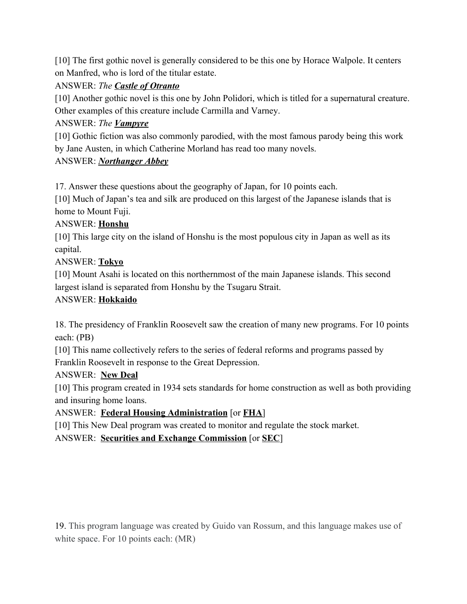[10] The first gothic novel is generally considered to be this one by Horace Walpole. It centers on Manfred, who is lord of the titular estate.

## ANSWER: *The Castle of Otranto*

[10] Another gothic novel is this one by John Polidori, which is titled for a supernatural creature. Other examples of this creature include Carmilla and Varney.

# ANSWER: *The Vampyre*

[10] Gothic fiction was also commonly parodied, with the most famous parody being this work by Jane Austen, in which Catherine Morland has read too many novels.

## ANSWER: *Northanger Abbey*

17. Answer these questions about the geography of Japan, for 10 points each.

[10] Much of Japan's tea and silk are produced on this largest of the Japanese islands that is home to Mount Fuji.

## ANSWER: **Honshu**

[10] This large city on the island of Honshu is the most populous city in Japan as well as its capital.

# ANSWER: **Tokyo**

[10] Mount Asahi is located on this northernmost of the main Japanese islands. This second largest island is separated from Honshu by the Tsugaru Strait.

# ANSWER: **Hokkaido**

18. The presidency of Franklin Roosevelt saw the creation of many new programs. For 10 points each: (PB)

[10] This name collectively refers to the series of federal reforms and programs passed by Franklin Roosevelt in response to the Great Depression.

## ANSWER: **New Deal**

[10] This program created in 1934 sets standards for home construction as well as both providing and insuring home loans.

## ANSWER: **Federal Housing Administration** [or **FHA**]

[10] This New Deal program was created to monitor and regulate the stock market.

ANSWER: **Securities and Exchange Commission** [or **SEC**]

19. This program language was created by Guido van Rossum, and this language makes use of white space. For 10 points each: (MR)